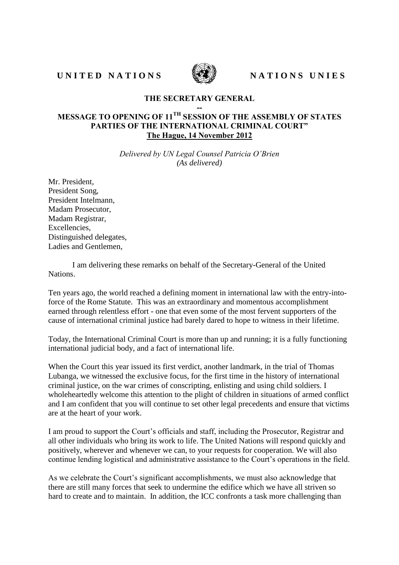UNITED NATIONS WE NATIONS UNIES



## **THE SECRETARY GENERAL**

## **-- MESSAGE TO OPENING OF 11TH SESSION OF THE ASSEMBLY OF STATES PARTIES OF THE INTERNATIONAL CRIMINAL COURT" The Hague, 14 November 2012**

*Delivered by UN Legal Counsel Patricia O'Brien (As delivered)*

Mr. President, President Song, President Intelmann, Madam Prosecutor, Madam Registrar, Excellencies, Distinguished delegates, Ladies and Gentlemen,

I am delivering these remarks on behalf of the Secretary-General of the United Nations.

Ten years ago, the world reached a defining moment in international law with the entry-intoforce of the Rome Statute. This was an extraordinary and momentous accomplishment earned through relentless effort - one that even some of the most fervent supporters of the cause of international criminal justice had barely dared to hope to witness in their lifetime.

Today, the International Criminal Court is more than up and running; it is a fully functioning international judicial body, and a fact of international life.

When the Court this year issued its first verdict, another landmark, in the trial of Thomas Lubanga, we witnessed the exclusive focus, for the first time in the history of international criminal justice, on the war crimes of conscripting, enlisting and using child soldiers. I wholeheartedly welcome this attention to the plight of children in situations of armed conflict and I am confident that you will continue to set other legal precedents and ensure that victims are at the heart of your work.

I am proud to support the Court's officials and staff, including the Prosecutor, Registrar and all other individuals who bring its work to life. The United Nations will respond quickly and positively, wherever and whenever we can, to your requests for cooperation. We will also continue lending logistical and administrative assistance to the Court's operations in the field.

As we celebrate the Court's significant accomplishments, we must also acknowledge that there are still many forces that seek to undermine the edifice which we have all striven so hard to create and to maintain. In addition, the ICC confronts a task more challenging than